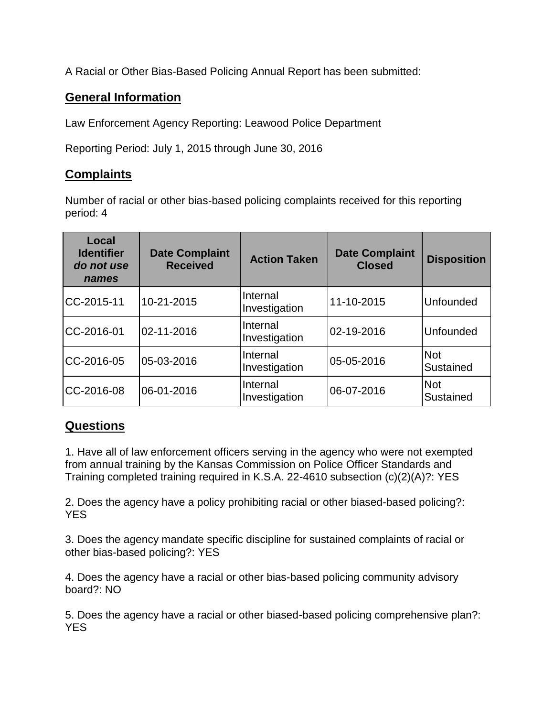A Racial or Other Bias-Based Policing Annual Report has been submitted:

## **General Information**

Law Enforcement Agency Reporting: Leawood Police Department

Reporting Period: July 1, 2015 through June 30, 2016

## **Complaints**

Number of racial or other bias-based policing complaints received for this reporting period: 4

| Local<br><b>Identifier</b><br>do not use<br>names | <b>Date Complaint</b><br><b>Received</b> | <b>Action Taken</b>       | <b>Date Complaint</b><br><b>Closed</b> | <b>Disposition</b>      |
|---------------------------------------------------|------------------------------------------|---------------------------|----------------------------------------|-------------------------|
| CC-2015-11                                        | 10-21-2015                               | Internal<br>Investigation | 11-10-2015                             | Unfounded               |
| CC-2016-01                                        | 02-11-2016                               | Internal<br>Investigation | 02-19-2016                             | Unfounded               |
| CC-2016-05                                        | 05-03-2016                               | Internal<br>Investigation | 05-05-2016                             | <b>Not</b><br>Sustained |
| CC-2016-08                                        | 06-01-2016                               | Internal<br>Investigation | 06-07-2016                             | <b>Not</b><br>Sustained |

## **Questions**

1. Have all of law enforcement officers serving in the agency who were not exempted from annual training by the Kansas Commission on Police Officer Standards and Training completed training required in K.S.A. 22-4610 subsection (c)(2)(A)?: YES

2. Does the agency have a policy prohibiting racial or other biased-based policing?: YES

3. Does the agency mandate specific discipline for sustained complaints of racial or other bias-based policing?: YES

4. Does the agency have a racial or other bias-based policing community advisory board?: NO

5. Does the agency have a racial or other biased-based policing comprehensive plan?: **YES**